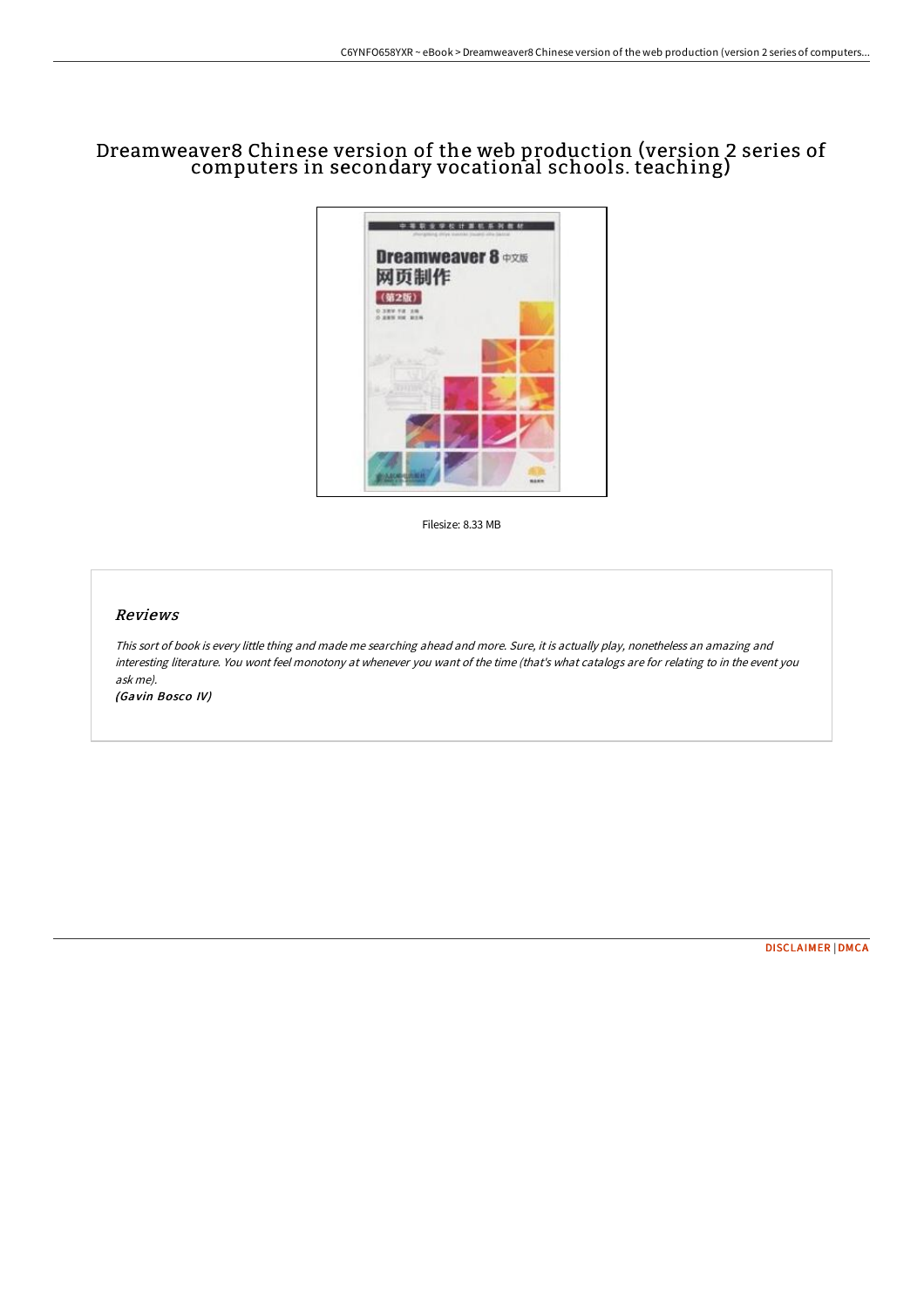# Dreamweaver8 Chinese version of the web production (version 2 series of computers in secondary vocational schools. teaching)



Filesize: 8.33 MB

## Reviews

This sort of book is every little thing and made me searching ahead and more. Sure, it is actually play, nonetheless an amazing and interesting literature. You wont feel monotony at whenever you want of the time (that's what catalogs are for relating to in the event you ask me).

(Gavin Bosco IV)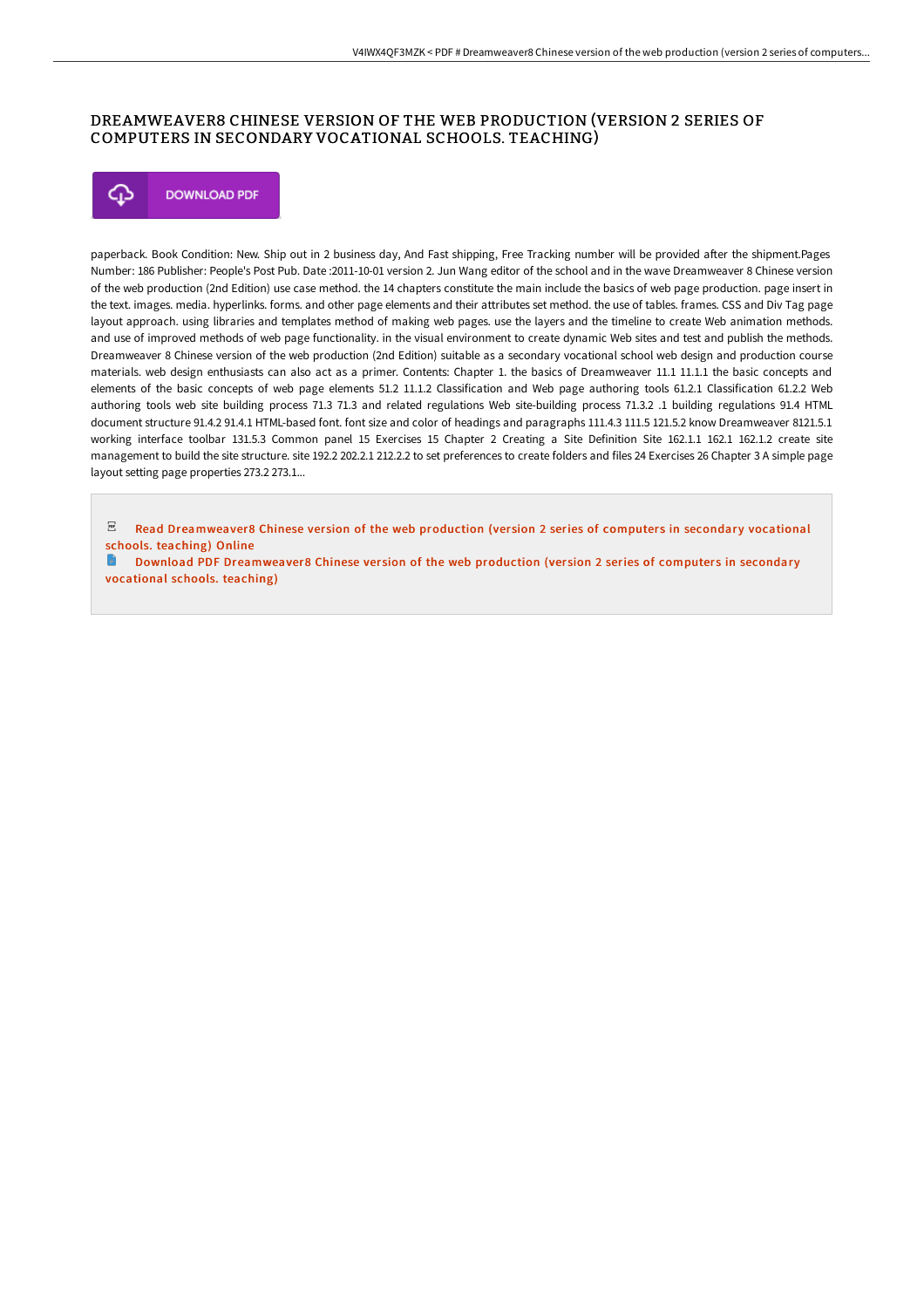# DREAMWEAVER8 CHINESE VERSION OF THE WEB PRODUCTION (VERSION 2 SERIES OF COMPUTERS IN SECONDARY VOCATIONAL SCHOOLS. TEACHING)



paperback. Book Condition: New. Ship out in 2 business day, And Fast shipping, Free Tracking number will be provided after the shipment.Pages Number: 186 Publisher: People's Post Pub. Date :2011-10-01 version 2. Jun Wang editor of the school and in the wave Dreamweaver 8 Chinese version of the web production (2nd Edition) use case method. the 14 chapters constitute the main include the basics of web page production. page insert in the text. images. media. hyperlinks. forms. and other page elements and their attributes set method. the use of tables. frames. CSS and Div Tag page layout approach. using libraries and templates method of making web pages. use the layers and the timeline to create Web animation methods. and use of improved methods of web page functionality. in the visual environment to create dynamic Web sites and test and publish the methods. Dreamweaver 8 Chinese version of the web production (2nd Edition) suitable as a secondary vocational school web design and production course materials. web design enthusiasts can also act as a primer. Contents: Chapter 1. the basics of Dreamweaver 11.1 11.1.1 the basic concepts and elements of the basic concepts of web page elements 51.2 11.1.2 Classification and Web page authoring tools 61.2.1 Classification 61.2.2 Web authoring tools web site building process 71.3 71.3 and related regulations Web site-building process 71.3.2 .1 building regulations 91.4 HTML document structure 91.4.2 91.4.1 HTML-based font. font size and color of headings and paragraphs 111.4.3 111.5 121.5.2 know Dreamweaver 8121.5.1 working interface toolbar 131.5.3 Common panel 15 Exercises 15 Chapter 2 Creating a Site Definition Site 162.1.1 162.1 162.1.2 create site management to build the site structure. site 192.2 202.2.1 212.2.2 to set preferences to create folders and files 24 Exercises 26 Chapter 3 A simple page layout setting page properties 273.2 273.1...

 $PDF$ Read [Dreamweaver8](http://bookera.tech/dreamweaver8-chinese-version-of-the-web-producti.html) Chinese version of the web production (version 2 series of computers in secondary vocational schools. teaching) Online

Download PDF [Dreamweaver8](http://bookera.tech/dreamweaver8-chinese-version-of-the-web-producti.html) Chinese version of the web production (version 2 series of computers in secondary vocational schools. teaching)